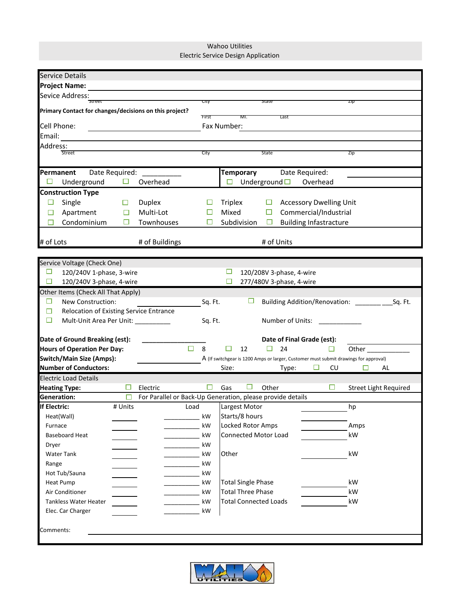Wahoo Utilities Electric Service Design Application

| <b>Service Details</b>                                 |                            |                  |                                                                                      |  |  |  |  |  |  |
|--------------------------------------------------------|----------------------------|------------------|--------------------------------------------------------------------------------------|--|--|--|--|--|--|
| <b>Project Name:</b>                                   |                            |                  |                                                                                      |  |  |  |  |  |  |
| Sevice Address:                                        |                            |                  |                                                                                      |  |  |  |  |  |  |
| Street                                                 |                            | City             | зтате<br>ZID                                                                         |  |  |  |  |  |  |
| Primary Contact for changes/decisions on this project? |                            | First            | MI.<br>Last                                                                          |  |  |  |  |  |  |
| Cell Phone:<br>Fax Number:                             |                            |                  |                                                                                      |  |  |  |  |  |  |
| Email:                                                 |                            |                  |                                                                                      |  |  |  |  |  |  |
| Address:                                               |                            |                  |                                                                                      |  |  |  |  |  |  |
| Street                                                 |                            | City             | State<br>Zip                                                                         |  |  |  |  |  |  |
|                                                        |                            |                  |                                                                                      |  |  |  |  |  |  |
| Permanent<br>Date Required:                            |                            |                  | <b>Temporary</b><br>Date Required:                                                   |  |  |  |  |  |  |
| □<br>Underground<br>$\Box$                             | Overhead                   |                  | $\Box$ Underground $\Box$ Overhead                                                   |  |  |  |  |  |  |
| <b>Construction Type</b>                               |                            |                  |                                                                                      |  |  |  |  |  |  |
| □<br>Single<br>ப                                       | <b>Duplex</b>              |                  | <b>Accessory Dwelling Unit</b><br>Triplex<br>$\Box$                                  |  |  |  |  |  |  |
| Apartment<br>$\Box$                                    | Multi-Lot<br>□             |                  | Mixed<br>Commercial/Industrial<br>ш                                                  |  |  |  |  |  |  |
| Condominium<br>□                                       | Townhouses<br>□            | □                | Subdivision<br><b>Building Infastracture</b><br>□                                    |  |  |  |  |  |  |
|                                                        |                            |                  |                                                                                      |  |  |  |  |  |  |
| # of Lots                                              | # of Buildings             |                  | # of Units                                                                           |  |  |  |  |  |  |
|                                                        |                            |                  |                                                                                      |  |  |  |  |  |  |
| Service Voltage (Check One)                            |                            |                  |                                                                                      |  |  |  |  |  |  |
| $\Box$<br>120/240V 1-phase, 3-wire                     |                            |                  | 120/208V 3-phase, 4-wire                                                             |  |  |  |  |  |  |
| □<br>120/240V 3-phase, 4-wire                          |                            |                  | 277/480V 3-phase, 4-wire<br>□                                                        |  |  |  |  |  |  |
| Other Items (Check All That Apply)                     |                            |                  |                                                                                      |  |  |  |  |  |  |
| $\Box$<br>New Construction:                            |                            | Sq. Ft.          | ப<br>Building Addition/Renovation: _________<br>Sq. Ft.                              |  |  |  |  |  |  |
| Relocation of Existing Service Entrance<br>$\Box$      |                            |                  |                                                                                      |  |  |  |  |  |  |
| □<br>Mult-Unit Area Per Unit: ___________              |                            | Sq. Ft.          | Number of Units:                                                                     |  |  |  |  |  |  |
| Date of Ground Breaking (est):                         |                            |                  |                                                                                      |  |  |  |  |  |  |
| <b>Hours of Operation Per Day:</b>                     |                            | $\Box$ 8         | Date of Final Grade (est):<br>12<br>24<br>$\Box$<br>ப<br>□<br>Other                  |  |  |  |  |  |  |
| <b>Switch/Main Size (Amps):</b>                        |                            |                  | A (If switchgear is 1200 Amps or larger, Customer must submit drawings for approval) |  |  |  |  |  |  |
| <b>Number of Conductors:</b>                           |                            |                  | Size:<br>Type:<br>□<br>CU<br>□<br>AL                                                 |  |  |  |  |  |  |
| <b>Electric Load Details</b>                           |                            |                  |                                                                                      |  |  |  |  |  |  |
| <b>Heating Type:</b>                                   | Electric                   | □                | Other<br>□<br>Gas<br>ப<br><b>Street Light Required</b>                               |  |  |  |  |  |  |
| <b>Generation:</b>                                     | <b>PD</b>                  |                  | For Parallel or Back-Up Generation, please provide details                           |  |  |  |  |  |  |
| If Electric:                                           | # Units Load Largest Motor |                  | hp                                                                                   |  |  |  |  |  |  |
| Heat(Wall)                                             |                            | kW               | Starts/8 hours                                                                       |  |  |  |  |  |  |
| Furnace                                                |                            | kW               | Locked Rotor Amps<br>Amps                                                            |  |  |  |  |  |  |
| <b>Baseboard Heat</b>                                  |                            | kW               | Connected Motor Load<br>kW                                                           |  |  |  |  |  |  |
| Dryer                                                  |                            | $\frac{1}{2}$ kW |                                                                                      |  |  |  |  |  |  |
| <b>Water Tank</b>                                      |                            | kW               | Other<br>kW                                                                          |  |  |  |  |  |  |
| Range                                                  |                            | kW               |                                                                                      |  |  |  |  |  |  |
| Hot Tub/Sauna                                          |                            | kW               |                                                                                      |  |  |  |  |  |  |
| <b>Heat Pump</b>                                       |                            | kW               | <b>Total Single Phase</b><br>kW                                                      |  |  |  |  |  |  |
| Air Conditioner                                        |                            | kW               | <b>Total Three Phase</b><br>kW                                                       |  |  |  |  |  |  |
| Tankless Water Heater                                  |                            | kW               | <b>Total Connected Loads</b><br>kW                                                   |  |  |  |  |  |  |
| Elec. Car Charger                                      |                            | kW               |                                                                                      |  |  |  |  |  |  |
|                                                        |                            |                  |                                                                                      |  |  |  |  |  |  |
| Comments:                                              |                            |                  |                                                                                      |  |  |  |  |  |  |